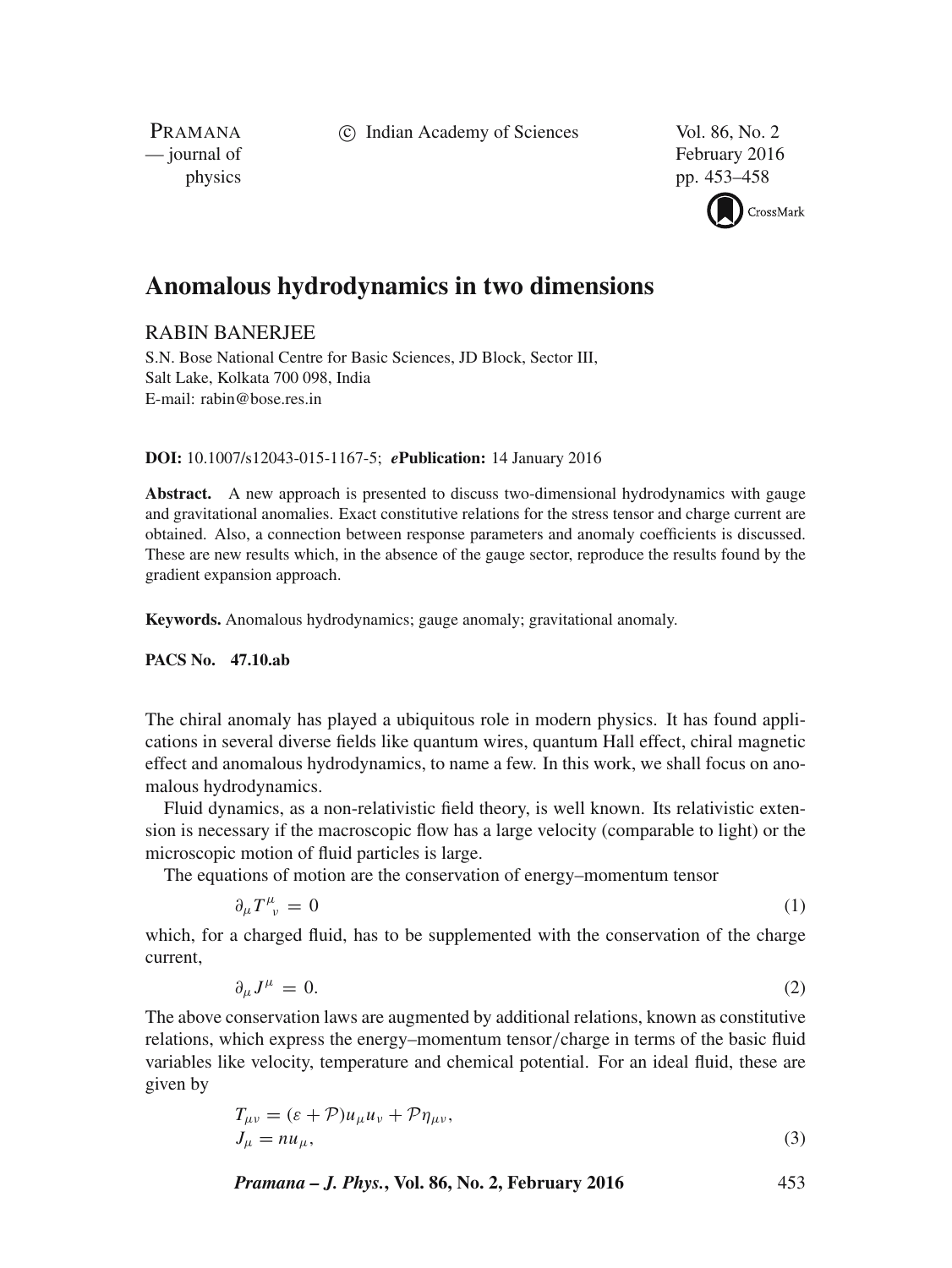c Indian Academy of Sciences Vol. 86, No. 2

PRAMANA<br>
— journal of

February 2016 physics pp. 453–458



# **Anomalous hydrodynamics in two dimensions**

# RABIN BANERJEE

S.N. Bose National Centre for Basic Sciences, JD Block, Sector III, Salt Lake, Kolkata 700 098, India E-mail: rabin@bose.res.in

#### **DOI:** 10.1007/s12043-015-1167-5; *e***Publication:** 14 January 2016

**Abstract.** A new approach is presented to discuss two-dimensional hydrodynamics with gauge and gravitational anomalies. Exact constitutive relations for the stress tensor and charge current are obtained. Also, a connection between response parameters and anomaly coefficients is discussed. These are new results which, in the absence of the gauge sector, reproduce the results found by the gradient expansion approach.

**Keywords.** Anomalous hydrodynamics; gauge anomaly; gravitational anomaly.

#### **PACS No. 47.10.ab**

The chiral anomaly has played a ubiquitous role in modern physics. It has found applications in several diverse fields like quantum wires, quantum Hall effect, chiral magnetic effect and anomalous hydrodynamics, to name a few. In this work, we shall focus on anomalous hydrodynamics.

Fluid dynamics, as a non-relativistic field theory, is well known. Its relativistic extension is necessary if the macroscopic flow has a large velocity (comparable to light) or the microscopic motion of fluid particles is large.

The equations of motion are the conservation of energy–momentum tensor

$$
\partial_{\mu}T^{\mu}_{\ \nu}=0\tag{1}
$$

which, for a charged fluid, has to be supplemented with the conservation of the charge current,

$$
\partial_{\mu}J^{\mu} = 0. \tag{2}
$$

The above conservation laws are augmented by additional relations, known as constitutive relations, which express the energy–momentum tensor/charge in terms of the basic fluid variables like velocity, temperature and chemical potential. For an ideal fluid, these are given by

$$
T_{\mu\nu} = (\varepsilon + \mathcal{P})u_{\mu}u_{\nu} + \mathcal{P}\eta_{\mu\nu},
$$
  
\n
$$
J_{\mu} = nu_{\mu},
$$
\n(3)

*Pramana – J. Phys.***, Vol. 86, No. 2, February 2016** 453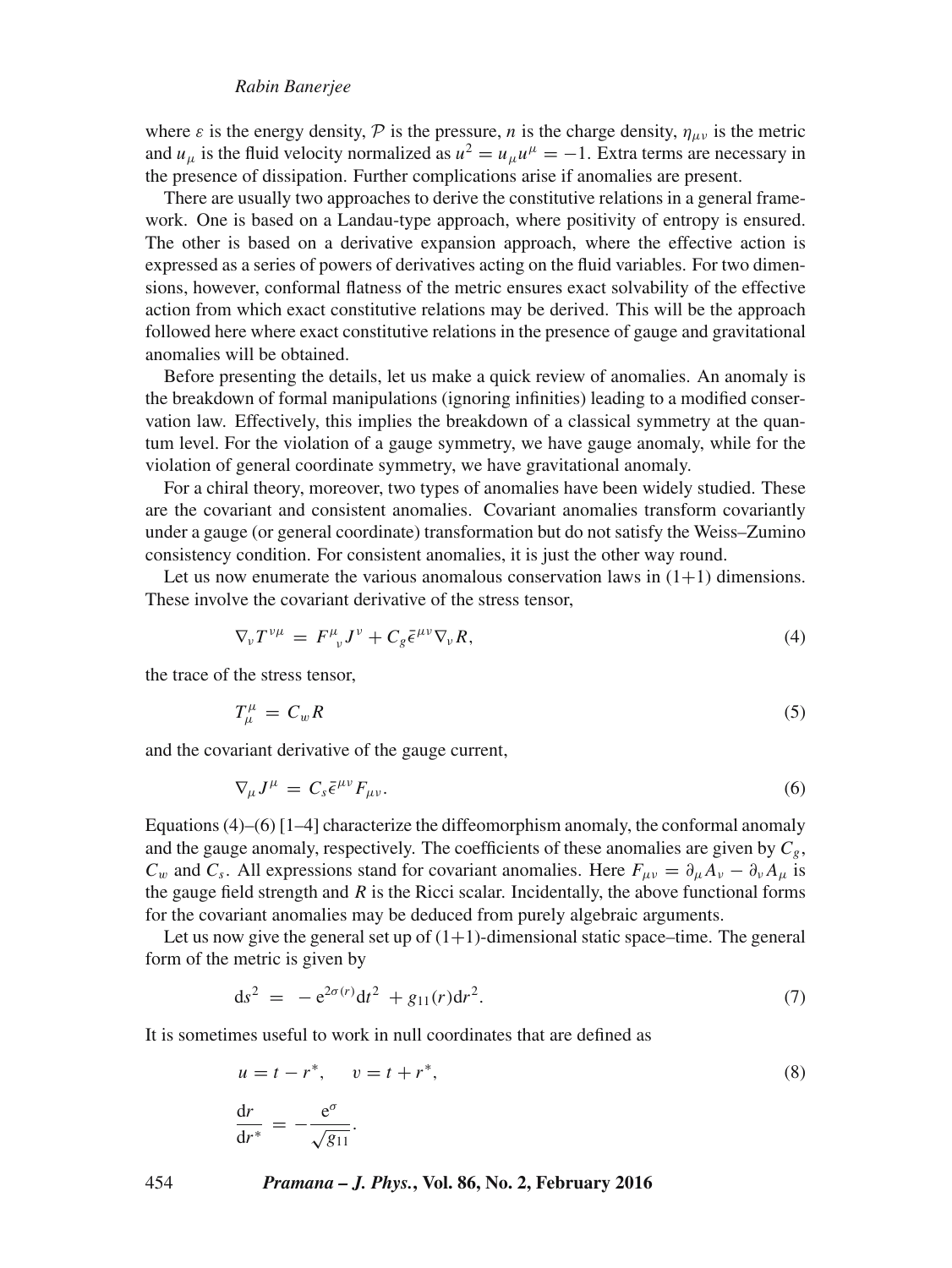#### *Rabin Banerjee*

where  $\varepsilon$  is the energy density,  $\mathcal P$  is the pressure, *n* is the charge density,  $\eta_{\mu\nu}$  is the metric and  $u_{\mu}$  is the fluid velocity normalized as  $u^2 = u_{\mu}u^{\mu} = -1$ . Extra terms are necessary in the presence of dissipation. Further complications arise if anomalies are present.

There are usually two approaches to derive the constitutive relations in a general framework. One is based on a Landau-type approach, where positivity of entropy is ensured. The other is based on a derivative expansion approach, where the effective action is expressed as a series of powers of derivatives acting on the fluid variables. For two dimensions, however, conformal flatness of the metric ensures exact solvability of the effective action from which exact constitutive relations may be derived. This will be the approach followed here where exact constitutive relations in the presence of gauge and gravitational anomalies will be obtained.

Before presenting the details, let us make a quick review of anomalies. An anomaly is the breakdown of formal manipulations (ignoring infinities) leading to a modified conservation law. Effectively, this implies the breakdown of a classical symmetry at the quantum level. For the violation of a gauge symmetry, we have gauge anomaly, while for the violation of general coordinate symmetry, we have gravitational anomaly.

For a chiral theory, moreover, two types of anomalies have been widely studied. These are the covariant and consistent anomalies. Covariant anomalies transform covariantly under a gauge (or general coordinate) transformation but do not satisfy the Weiss–Zumino consistency condition. For consistent anomalies, it is just the other way round.

Let us now enumerate the various anomalous conservation laws in  $(1+1)$  dimensions. These involve the covariant derivative of the stress tensor,

$$
\nabla_{\nu} T^{\nu \mu} = F^{\mu}_{\ \nu} J^{\nu} + C_g \bar{\epsilon}^{\mu \nu} \nabla_{\nu} R, \tag{4}
$$

the trace of the stress tensor,

$$
T^{\mu}_{\mu} = C_w R \tag{5}
$$

and the covariant derivative of the gauge current,

$$
\nabla_{\mu} J^{\mu} = C_s \bar{\epsilon}^{\mu \nu} F_{\mu \nu}.
$$
\n(6)

Equations  $(4)$ – $(6)$  [1–4] characterize the diffeomorphism anomaly, the conformal anomaly and the gauge anomaly, respectively. The coefficients of these anomalies are given by  $C_g$ ,  $C_w$  and  $C_s$ . All expressions stand for covariant anomalies. Here  $F_{\mu\nu} = \partial_\mu A_\nu - \partial_\nu A_\mu$  is the gauge field strength and  $R$  is the Ricci scalar. Incidentally, the above functional forms for the covariant anomalies may be deduced from purely algebraic arguments.

Let us now give the general set up of  $(1+1)$ -dimensional static space–time. The general form of the metric is given by

$$
ds^2 = -e^{2\sigma(r)}dt^2 + g_{11}(r)dr^2.
$$
 (7)

It is sometimes useful to work in null coordinates that are defined as

$$
u = t - r^*, \quad v = t + r^*,
$$
  
\n
$$
\frac{dr}{dr^*} = -\frac{e^{\sigma}}{\sqrt{g_{11}}}.
$$
\n(8)

454 *Pramana – J. Phys.***, Vol. 86, No. 2, February 2016**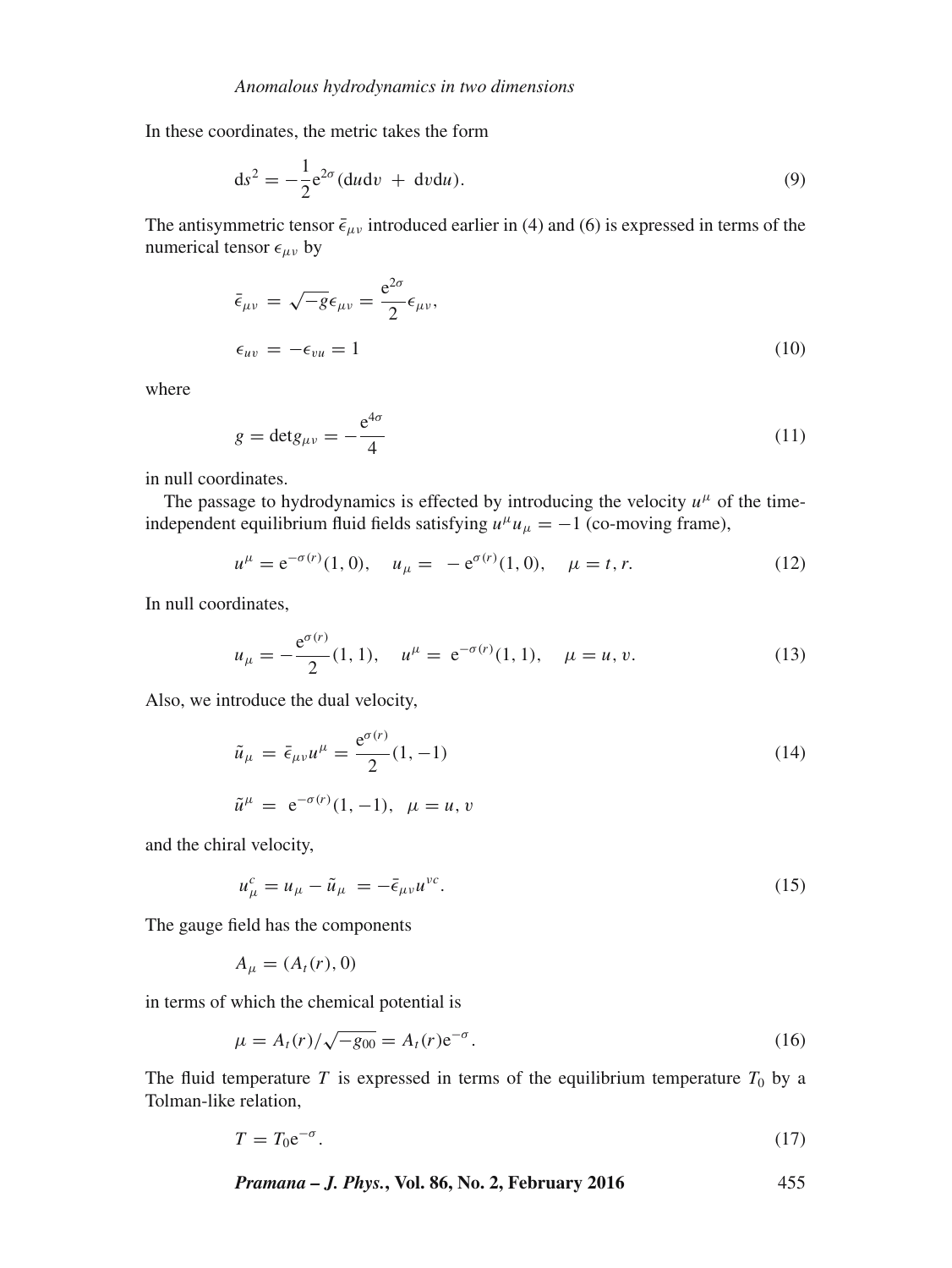In these coordinates, the metric takes the form

$$
ds^2 = -\frac{1}{2}e^{2\sigma} (du dv + dv du). \tag{9}
$$

The antisymmetric tensor  $\bar{\epsilon}_{\mu\nu}$  introduced earlier in (4) and (6) is expressed in terms of the numerical tensor  $\epsilon_{\mu\nu}$  by

$$
\bar{\epsilon}_{\mu\nu} = \sqrt{-g} \epsilon_{\mu\nu} = \frac{e^{2\sigma}}{2} \epsilon_{\mu\nu},
$$
  

$$
\epsilon_{uv} = -\epsilon_{vu} = 1
$$
 (10)

where

$$
g = \det g_{\mu\nu} = -\frac{e^{4\sigma}}{4} \tag{11}
$$

in null coordinates.

The passage to hydrodynamics is effected by introducing the velocity  $u^{\mu}$  of the timeindependent equilibrium fluid fields satisfying  $u^{\mu}u_{\mu} = -1$  (co-moving frame),

$$
u^{\mu} = e^{-\sigma(r)}(1,0), \quad u_{\mu} = -e^{\sigma(r)}(1,0), \quad \mu = t, r.
$$
 (12)

In null coordinates,

$$
u_{\mu} = -\frac{e^{\sigma(r)}}{2}(1, 1), \quad u^{\mu} = e^{-\sigma(r)}(1, 1), \quad \mu = u, v. \tag{13}
$$

Also, we introduce the dual velocity,

$$
\tilde{u}_{\mu} = \bar{\epsilon}_{\mu\nu} u^{\mu} = \frac{e^{\sigma(r)}}{2} (1, -1)
$$
\n
$$
\tilde{u}^{\mu} = e^{-\sigma(r)} (1, -1), \quad \mu = u, v
$$
\n(14)

and the chiral velocity,

$$
u^c_\mu = u_\mu - \tilde{u}_\mu = -\bar{\epsilon}_{\mu\nu}u^{\nu c}.\tag{15}
$$

The gauge field has the components

$$
A_{\mu}=(A_t(r),0)
$$

in terms of which the chemical potential is

$$
\mu = A_t(r) / \sqrt{-g_{00}} = A_t(r) e^{-\sigma}.
$$
\n(16)

The fluid temperature T is expressed in terms of the equilibrium temperature  $T_0$  by a Tolman-like relation,

$$
T = T_0 e^{-\sigma}.
$$

*Pramana – J. Phys.***, Vol. 86, No. 2, February 2016** 455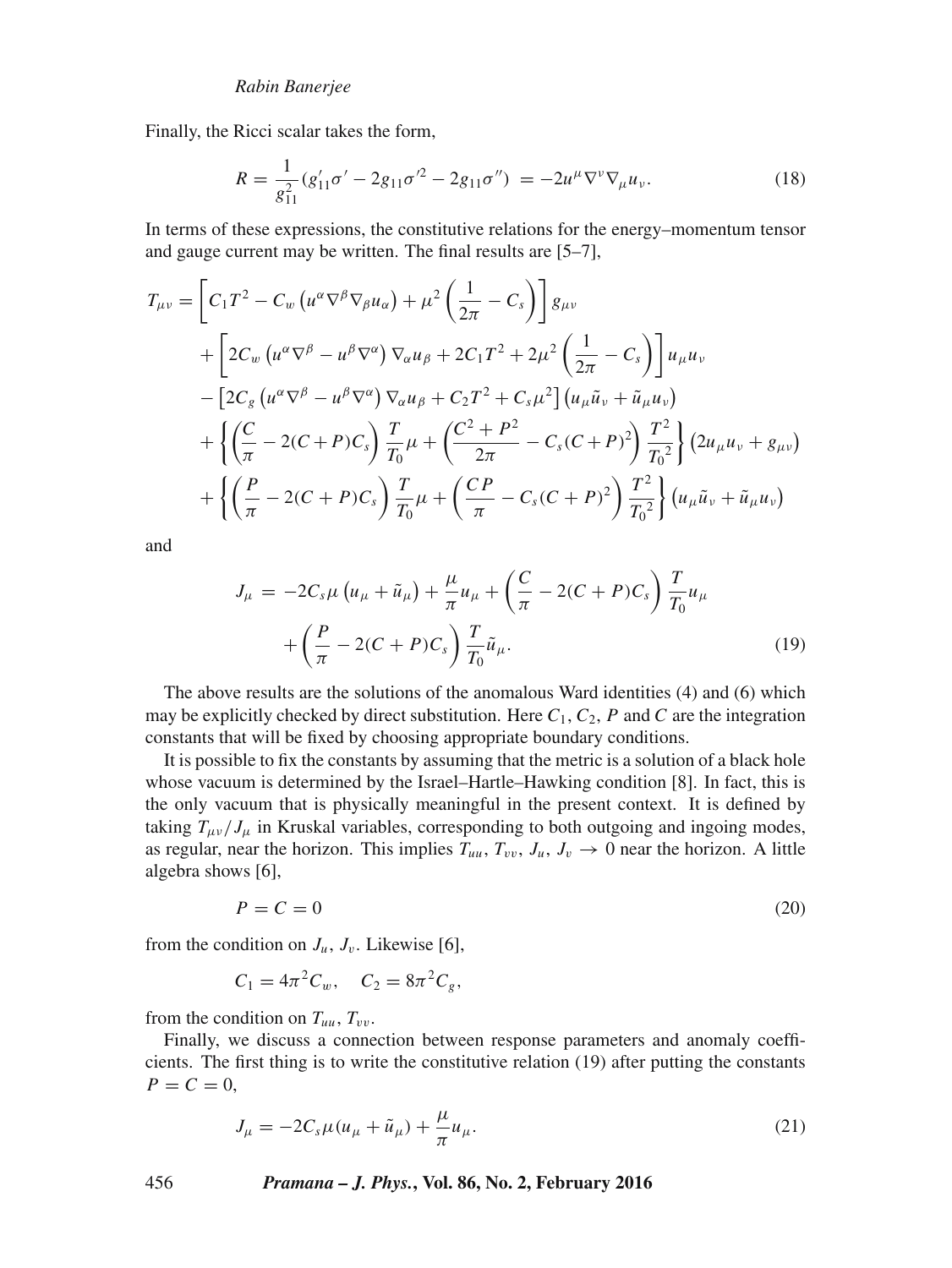Finally, the Ricci scalar takes the form,

$$
R = \frac{1}{g_{11}^2} (g_{11}' \sigma' - 2g_{11} \sigma'^2 - 2g_{11} \sigma'') = -2u^{\mu} \nabla^{\nu} \nabla_{\mu} u_{\nu}.
$$
 (18)

In terms of these expressions, the constitutive relations for the energy–momentum tensor and gauge current may be written. The final results are [5–7],

$$
T_{\mu\nu} = \left[ C_1 T^2 - C_w \left( u^{\alpha} \nabla^{\beta} \nabla_{\beta} u_{\alpha} \right) + \mu^2 \left( \frac{1}{2\pi} - C_s \right) \right] g_{\mu\nu} + \left[ 2C_w \left( u^{\alpha} \nabla^{\beta} - u^{\beta} \nabla^{\alpha} \right) \nabla_{\alpha} u_{\beta} + 2C_1 T^2 + 2\mu^2 \left( \frac{1}{2\pi} - C_s \right) \right] u_{\mu} u_{\nu} - \left[ 2C_g \left( u^{\alpha} \nabla^{\beta} - u^{\beta} \nabla^{\alpha} \right) \nabla_{\alpha} u_{\beta} + C_2 T^2 + C_s \mu^2 \right] \left( u_{\mu} \tilde{u}_{\nu} + \tilde{u}_{\mu} u_{\nu} \right) + \left\{ \left( \frac{C}{\pi} - 2(C + P)C_s \right) \frac{T}{T_0} \mu + \left( \frac{C^2 + P^2}{2\pi} - C_s (C + P)^2 \right) \frac{T^2}{T_0^2} \right\} \left( 2u_{\mu} u_{\nu} + g_{\mu \nu} \right) + \left\{ \left( \frac{P}{\pi} - 2(C + P)C_s \right) \frac{T}{T_0} \mu + \left( \frac{CP}{\pi} - C_s (C + P)^2 \right) \frac{T^2}{T_0^2} \right\} \left( u_{\mu} \tilde{u}_{\nu} + \tilde{u}_{\mu} u_{\nu} \right)
$$

and

$$
J_{\mu} = -2C_{s}\mu (u_{\mu} + \tilde{u}_{\mu}) + \frac{\mu}{\pi}u_{\mu} + \left(\frac{C}{\pi} - 2(C + P)C_{s}\right)\frac{T}{T_{0}}u_{\mu} + \left(\frac{P}{\pi} - 2(C + P)C_{s}\right)\frac{T}{T_{0}}\tilde{u}_{\mu}.
$$
\n(19)

The above results are the solutions of the anomalous Ward identities (4) and (6) which may be explicitly checked by direct substitution. Here  $C_1$ ,  $C_2$ , P and C are the integration constants that will be fixed by choosing appropriate boundary conditions.

It is possible to fix the constants by assuming that the metric is a solution of a black hole whose vacuum is determined by the Israel–Hartle–Hawking condition [8]. In fact, this is the only vacuum that is physically meaningful in the present context. It is defined by taking  $T_{\mu\nu}/J_{\mu}$  in Kruskal variables, corresponding to both outgoing and ingoing modes, as regular, near the horizon. This implies  $T_{uu}$ ,  $T_{vv}$ ,  $J_u$ ,  $J_v \rightarrow 0$  near the horizon. A little algebra shows [6],

$$
P = C = 0 \tag{20}
$$

from the condition on  $J_u$ ,  $J_v$ . Likewise [6],

$$
C_1 = 4\pi^2 C_w, \quad C_2 = 8\pi^2 C_g,
$$

from the condition on  $T_{uu}$ ,  $T_{vv}$ .

Finally, we discuss a connection between response parameters and anomaly coefficients. The first thing is to write the constitutive relation (19) after putting the constants  $P = C = 0$ ,

$$
J_{\mu} = -2C_{s}\mu(u_{\mu} + \tilde{u}_{\mu}) + \frac{\mu}{\pi}u_{\mu}.
$$
 (21)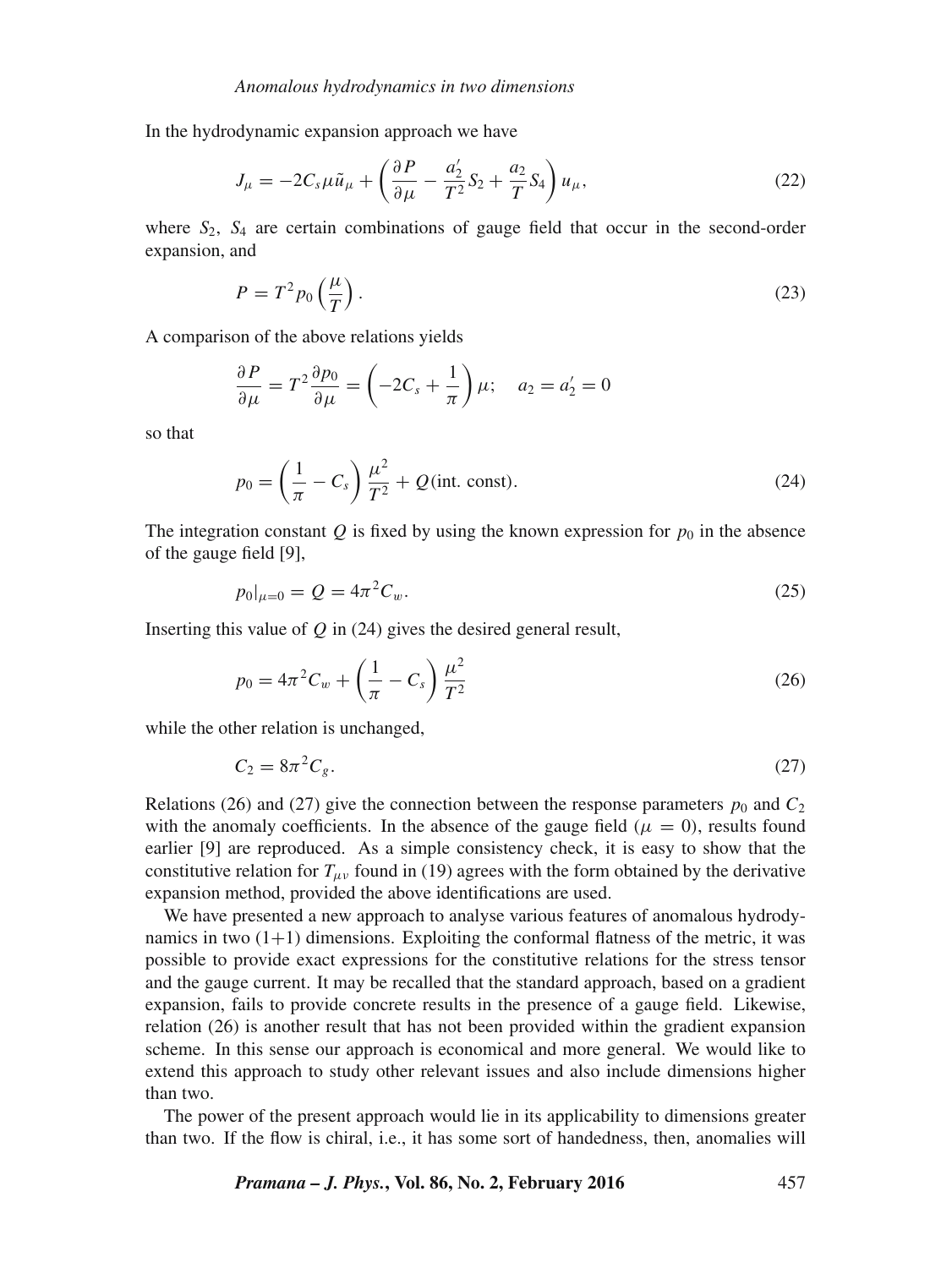In the hydrodynamic expansion approach we have

$$
J_{\mu} = -2C_s\mu\tilde{u}_{\mu} + \left(\frac{\partial P}{\partial \mu} - \frac{a_2'}{T^2}S_2 + \frac{a_2}{T}S_4\right)u_{\mu},\tag{22}
$$

where  $S_2$ ,  $S_4$  are certain combinations of gauge field that occur in the second-order expansion, and

$$
P = T^2 p_0 \left(\frac{\mu}{T}\right). \tag{23}
$$

A comparison of the above relations yields

$$
\frac{\partial P}{\partial \mu} = T^2 \frac{\partial p_0}{\partial \mu} = \left( -2C_s + \frac{1}{\pi} \right) \mu; \quad a_2 = a_2' = 0
$$

so that

$$
p_0 = \left(\frac{1}{\pi} - C_s\right) \frac{\mu^2}{T^2} + Q(\text{int. const}).
$$
 (24)

The integration constant Q is fixed by using the known expression for  $p_0$  in the absence of the gauge field [9],

$$
p_0|_{\mu=0} = Q = 4\pi^2 C_w.
$$
 (25)

Inserting this value of  $Q$  in (24) gives the desired general result,

$$
p_0 = 4\pi^2 C_w + \left(\frac{1}{\pi} - C_s\right) \frac{\mu^2}{T^2}
$$
 (26)

while the other relation is unchanged,

$$
C_2 = 8\pi^2 C_g. \tag{27}
$$

Relations (26) and (27) give the connection between the response parameters  $p_0$  and  $C_2$ with the anomaly coefficients. In the absence of the gauge field ( $\mu = 0$ ), results found earlier [9] are reproduced. As a simple consistency check, it is easy to show that the constitutive relation for  $T_{\mu\nu}$  found in (19) agrees with the form obtained by the derivative expansion method, provided the above identifications are used.

We have presented a new approach to analyse various features of anomalous hydrodynamics in two  $(1+1)$  dimensions. Exploiting the conformal flatness of the metric, it was possible to provide exact expressions for the constitutive relations for the stress tensor and the gauge current. It may be recalled that the standard approach, based on a gradient expansion, fails to provide concrete results in the presence of a gauge field. Likewise, relation (26) is another result that has not been provided within the gradient expansion scheme. In this sense our approach is economical and more general. We would like to extend this approach to study other relevant issues and also include dimensions higher than two.

The power of the present approach would lie in its applicability to dimensions greater than two. If the flow is chiral, i.e., it has some sort of handedness, then, anomalies will

#### *Pramana – J. Phys.***, Vol. 86, No. 2, February 2016** 457